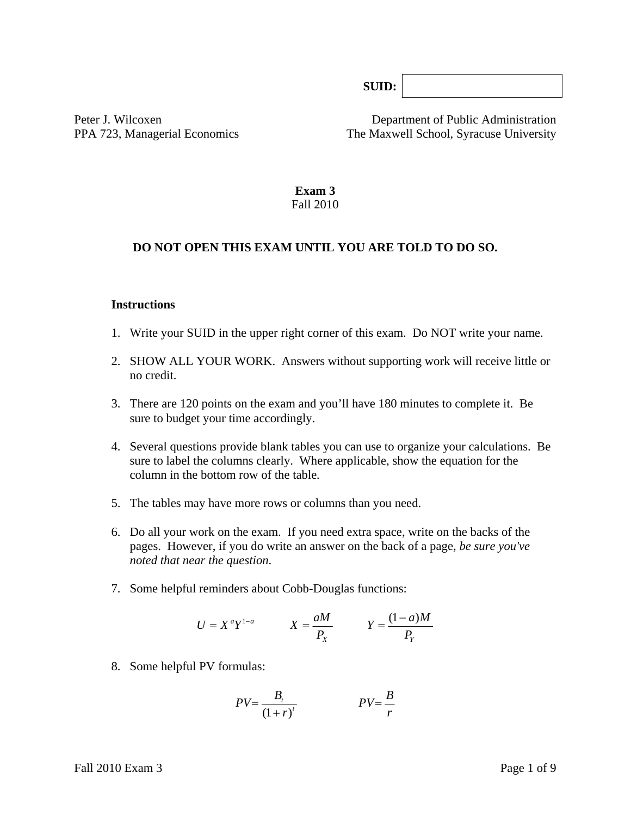**SUID:**

Peter J. Wilcoxen Department of Public Administration PPA 723, Managerial Economics The Maxwell School, Syracuse University

> **Exam 3**  Fall 2010

#### **DO NOT OPEN THIS EXAM UNTIL YOU ARE TOLD TO DO SO.**

#### **Instructions**

- 1. Write your SUID in the upper right corner of this exam. Do NOT write your name.
- 2. SHOW ALL YOUR WORK. Answers without supporting work will receive little or no credit.
- 3. There are 120 points on the exam and you'll have 180 minutes to complete it. Be sure to budget your time accordingly.
- 4. Several questions provide blank tables you can use to organize your calculations. Be sure to label the columns clearly. Where applicable, show the equation for the column in the bottom row of the table*.*
- 5. The tables may have more rows or columns than you need.
- 6. Do all your work on the exam. If you need extra space, write on the backs of the pages. However, if you do write an answer on the back of a page, *be sure you've noted that near the question*.
- 7. Some helpful reminders about Cobb-Douglas functions:

$$
U = X^a Y^{1-a} \qquad X = \frac{aM}{P_X} \qquad Y = \frac{(1-a)M}{P_Y}
$$

8. Some helpful PV formulas:

$$
PV = \frac{B_t}{\left(1+r\right)^t} \qquad \qquad PV = \frac{B}{r}
$$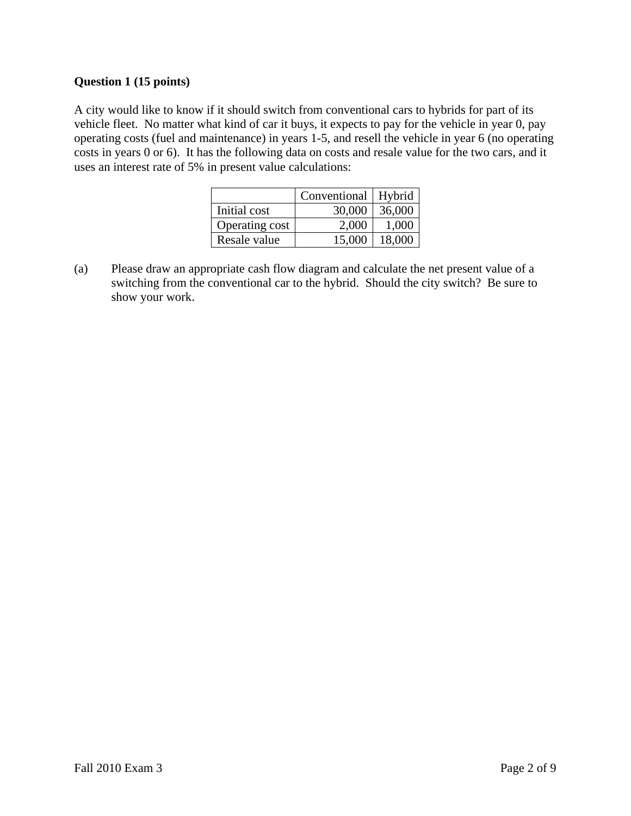# **Question 1 (15 points)**

A city would like to know if it should switch from conventional cars to hybrids for part of its vehicle fleet. No matter what kind of car it buys, it expects to pay for the vehicle in year 0, pay operating costs (fuel and maintenance) in years 1-5, and resell the vehicle in year 6 (no operating costs in years 0 or 6). It has the following data on costs and resale value for the two cars, and it uses an interest rate of 5% in present value calculations:

|                | Conventional   Hybrid |        |
|----------------|-----------------------|--------|
| Initial cost   | 30,000                | 36,000 |
| Operating cost | 2,000                 | 1,000  |
| Resale value   | 15,000                | 18,000 |

(a) Please draw an appropriate cash flow diagram and calculate the net present value of a switching from the conventional car to the hybrid. Should the city switch? Be sure to show your work.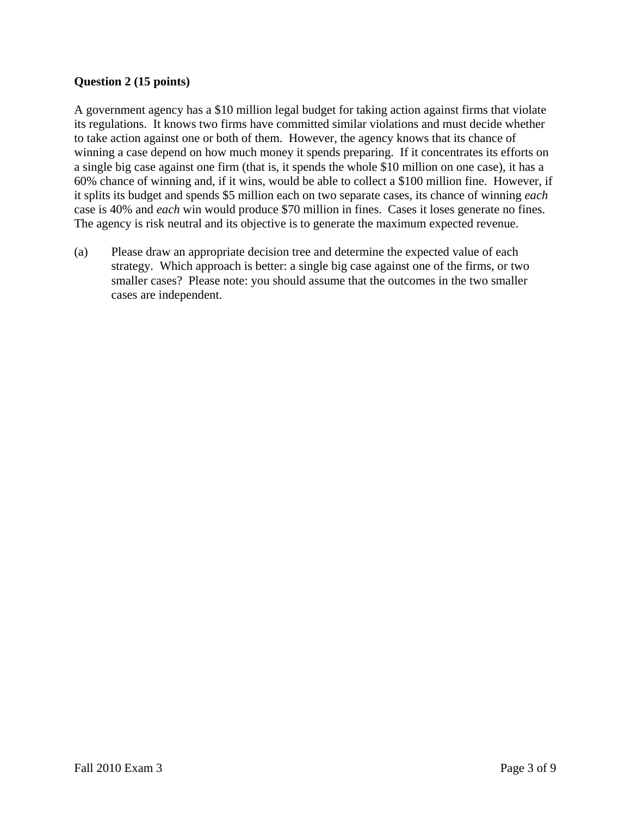# **Question 2 (15 points)**

A government agency has a \$10 million legal budget for taking action against firms that violate its regulations. It knows two firms have committed similar violations and must decide whether to take action against one or both of them. However, the agency knows that its chance of winning a case depend on how much money it spends preparing. If it concentrates its efforts on a single big case against one firm (that is, it spends the whole \$10 million on one case), it has a 60% chance of winning and, if it wins, would be able to collect a \$100 million fine. However, if it splits its budget and spends \$5 million each on two separate cases, its chance of winning *each* case is 40% and *each* win would produce \$70 million in fines. Cases it loses generate no fines. The agency is risk neutral and its objective is to generate the maximum expected revenue.

(a) Please draw an appropriate decision tree and determine the expected value of each strategy. Which approach is better: a single big case against one of the firms, or two smaller cases? Please note: you should assume that the outcomes in the two smaller cases are independent.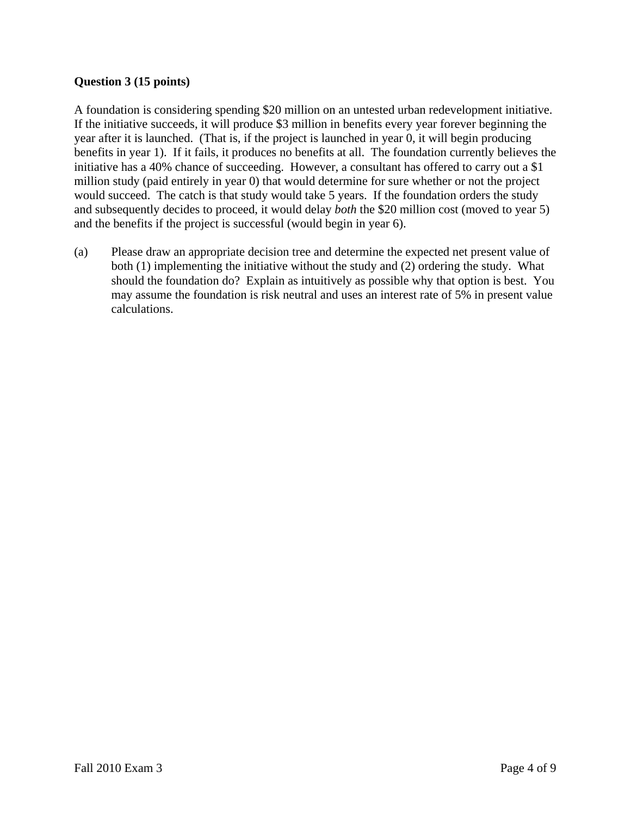# **Question 3 (15 points)**

A foundation is considering spending \$20 million on an untested urban redevelopment initiative. If the initiative succeeds, it will produce \$3 million in benefits every year forever beginning the year after it is launched. (That is, if the project is launched in year 0, it will begin producing benefits in year 1). If it fails, it produces no benefits at all. The foundation currently believes the initiative has a 40% chance of succeeding. However, a consultant has offered to carry out a \$1 million study (paid entirely in year 0) that would determine for sure whether or not the project would succeed. The catch is that study would take 5 years. If the foundation orders the study and subsequently decides to proceed, it would delay *both* the \$20 million cost (moved to year 5) and the benefits if the project is successful (would begin in year 6).

(a) Please draw an appropriate decision tree and determine the expected net present value of both (1) implementing the initiative without the study and (2) ordering the study. What should the foundation do? Explain as intuitively as possible why that option is best. You may assume the foundation is risk neutral and uses an interest rate of 5% in present value calculations.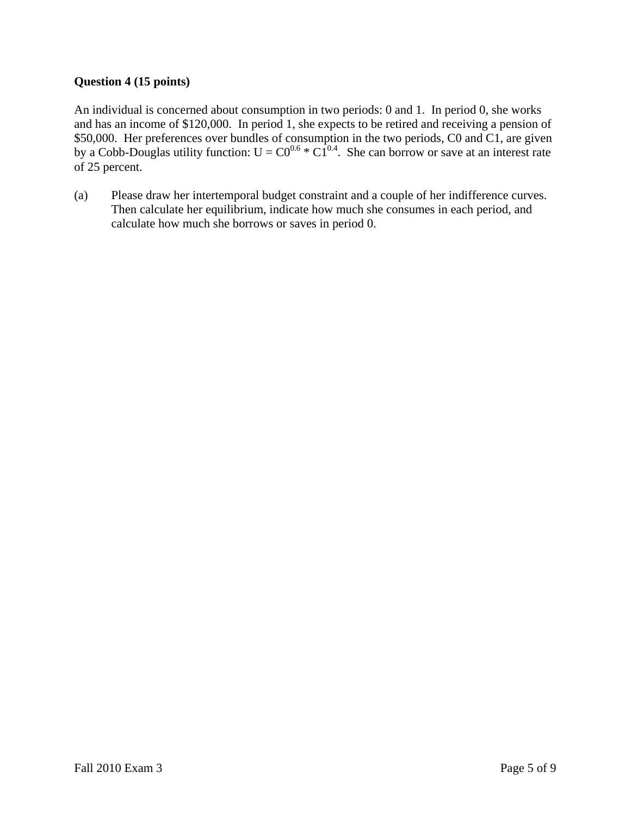# **Question 4 (15 points)**

An individual is concerned about consumption in two periods: 0 and 1. In period 0, she works and has an income of \$120,000. In period 1, she expects to be retired and receiving a pension of \$50,000. Her preferences over bundles of consumption in the two periods, C0 and C1, are given by a Cobb-Douglas utility function:  $U = CO^{0.6} * Cl^{0.4}$ . She can borrow or save at an interest rate of 25 percent.

(a) Please draw her intertemporal budget constraint and a couple of her indifference curves. Then calculate her equilibrium, indicate how much she consumes in each period, and calculate how much she borrows or saves in period 0.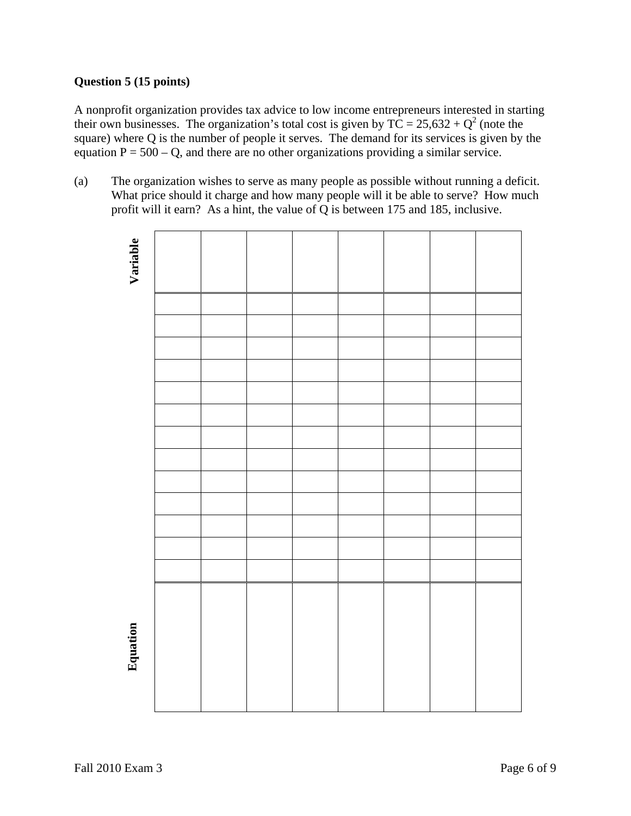# **Question 5 (15 points)**

A nonprofit organization provides tax advice to low income entrepreneurs interested in starting their own businesses. The organization's total cost is given by  $TC = 25{,}632 + Q^2$  (note the square) where Q is the number of people it serves. The demand for its services is given by the equation  $P = 500 - Q$ , and there are no other organizations providing a similar service.

(a) The organization wishes to serve as many people as possible without running a deficit. What price should it charge and how many people will it be able to serve? How much profit will it earn? As a hint, the value of Q is between 175 and 185, inclusive.

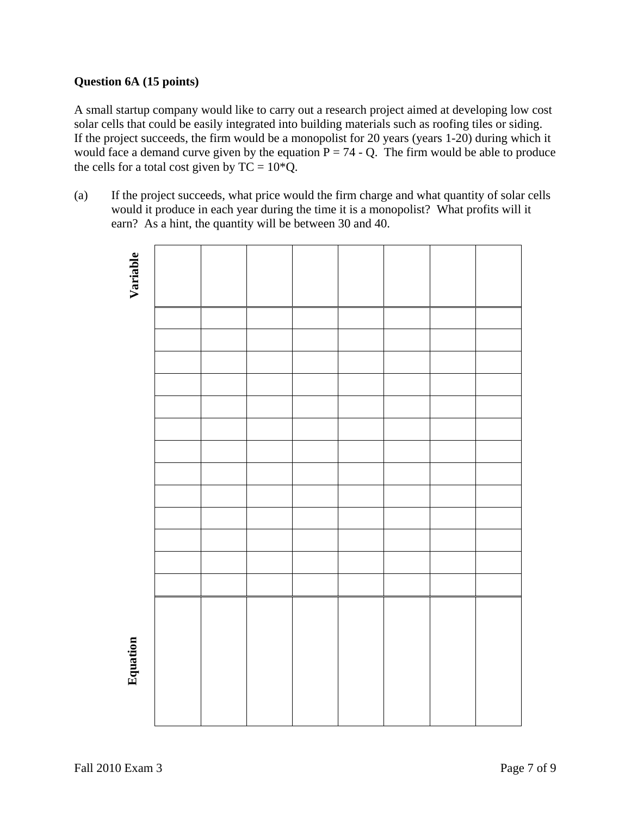# **Question 6A (15 points)**

A small startup company would like to carry out a research project aimed at developing low cost solar cells that could be easily integrated into building materials such as roofing tiles or siding. If the project succeeds, the firm would be a monopolist for 20 years (years 1-20) during which it would face a demand curve given by the equation  $P = 74 - Q$ . The firm would be able to produce the cells for a total cost given by  $TC = 10*Q$ .

(a) If the project succeeds, what price would the firm charge and what quantity of solar cells would it produce in each year during the time it is a monopolist? What profits will it earn? As a hint, the quantity will be between 30 and 40.

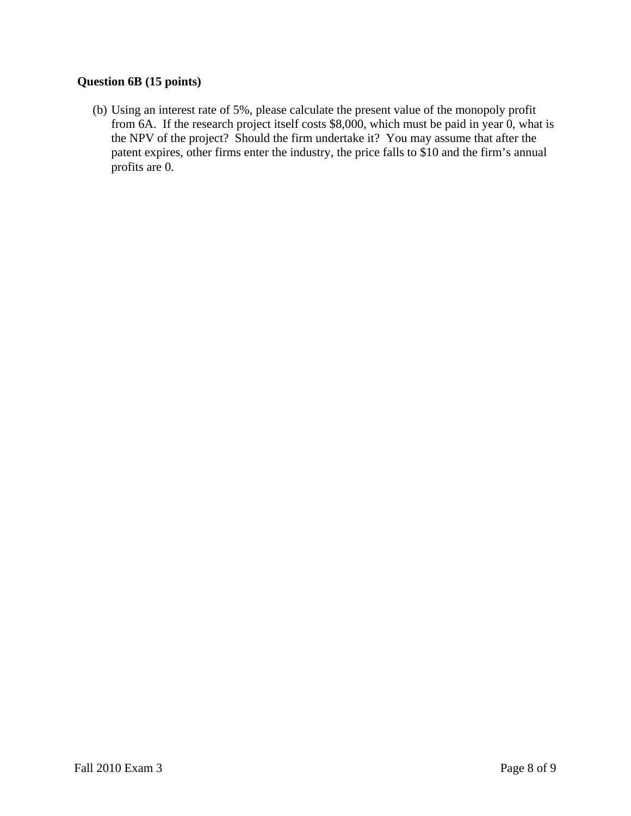# **Question 6B (15 points)**

(b) Using an interest rate of 5%, please calculate the present value of the monopoly profit from 6A. If the research project itself costs \$8,000, which must be paid in year 0, what is the NPV of the project? Should the firm undertake it? You may assume that after the patent expires, other firms enter the industry, the price falls to \$10 and the firm's annual profits are 0.